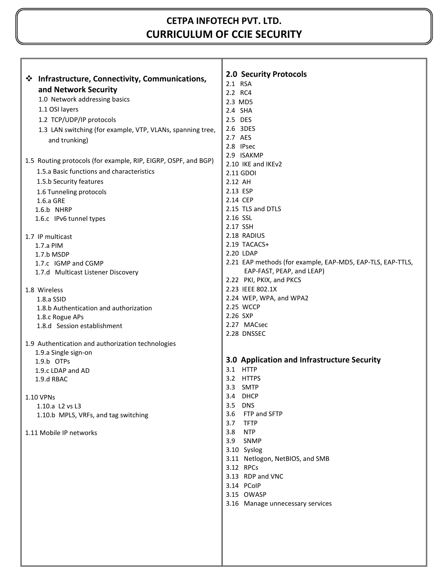# **CETPA INFOTECH PVT. LTD. CURRICULUM OF CCIE SECURITY**

|                                                                | <b>2.0 Security Protocols</b>                              |  |  |
|----------------------------------------------------------------|------------------------------------------------------------|--|--|
| ❖ Infrastructure, Connectivity, Communications,                | 2.1 RSA                                                    |  |  |
| and Network Security                                           | 2.2 RC4                                                    |  |  |
| 1.0 Network addressing basics                                  | 2.3 MD5                                                    |  |  |
| 1.1 OSI layers                                                 | 2.4 SHA                                                    |  |  |
| 1.2 TCP/UDP/IP protocols                                       | 2.5 DES                                                    |  |  |
| 1.3 LAN switching (for example, VTP, VLANs, spanning tree,     | 2.6 3DES                                                   |  |  |
| and trunking)                                                  | 2.7 AES                                                    |  |  |
|                                                                | 2.8 IPsec                                                  |  |  |
|                                                                | 2.9 ISAKMP                                                 |  |  |
| 1.5 Routing protocols (for example, RIP, EIGRP, OSPF, and BGP) | 2.10 IKE and IKEv2                                         |  |  |
| 1.5.a Basic functions and characteristics                      | 2.11 GDOI                                                  |  |  |
| 1.5.b Security features                                        | 2.12 AH                                                    |  |  |
| 1.6 Tunneling protocols                                        | 2.13 ESP                                                   |  |  |
| $1.6.a$ GRE                                                    | 2.14 CEP                                                   |  |  |
| 1.6.b NHRP                                                     | 2.15 TLS and DTLS                                          |  |  |
| 1.6.c IPv6 tunnel types                                        | 2.16 SSL                                                   |  |  |
|                                                                | 2.17 SSH                                                   |  |  |
| 1.7 IP multicast                                               | 2.18 RADIUS                                                |  |  |
| 1.7.a PIM                                                      | 2.19 TACACS+                                               |  |  |
| 1.7.b MSDP                                                     | 2.20 LDAP                                                  |  |  |
| 1.7.c IGMP and CGMP                                            | 2.21 EAP methods (for example, EAP-MD5, EAP-TLS, EAP-TTLS, |  |  |
| 1.7.d Multicast Listener Discovery                             | EAP-FAST, PEAP, and LEAP)                                  |  |  |
|                                                                | 2.22 PKI, PKIX, and PKCS                                   |  |  |
| 1.8 Wireless                                                   | 2.23 IEEE 802.1X                                           |  |  |
| 1.8.a SSID                                                     | 2.24 WEP, WPA, and WPA2                                    |  |  |
| 1.8.b Authentication and authorization                         | 2.25 WCCP                                                  |  |  |
| 1.8.c Rogue APs                                                | 2.26 SXP                                                   |  |  |
| 1.8.d Session establishment                                    | 2.27 MACsec                                                |  |  |
|                                                                | 2.28 DNSSEC                                                |  |  |
| 1.9 Authentication and authorization technologies              |                                                            |  |  |
| 1.9.a Single sign-on                                           |                                                            |  |  |
| 1.9.b OTPs                                                     | 3.0 Application and Infrastructure Security                |  |  |
| 1.9.c LDAP and AD                                              | 3.1 HTTP                                                   |  |  |
| 1.9.d RBAC                                                     | 3.2 HTTPS                                                  |  |  |
|                                                                | 3.3 SMTP                                                   |  |  |
| 1.10 VPNs                                                      | 3.4 DHCP                                                   |  |  |
| 1.10.a L2 vs L3                                                | 3.5 DNS                                                    |  |  |
| 1.10.b MPLS, VRFs, and tag switching                           | 3.6 FTP and SFTP                                           |  |  |
|                                                                | 3.7<br><b>TFTP</b>                                         |  |  |
| 1.11 Mobile IP networks                                        | 3.8 NTP                                                    |  |  |
|                                                                | SNMP<br>3.9                                                |  |  |
|                                                                | 3.10 Syslog                                                |  |  |
|                                                                | 3.11 Netlogon, NetBIOS, and SMB                            |  |  |
|                                                                | 3.12 RPCs                                                  |  |  |
|                                                                | 3.13 RDP and VNC                                           |  |  |
|                                                                | 3.14 PCoIP                                                 |  |  |
|                                                                | 3.15 OWASP                                                 |  |  |
|                                                                | 3.16 Manage unnecessary services                           |  |  |
|                                                                |                                                            |  |  |
|                                                                |                                                            |  |  |
|                                                                |                                                            |  |  |
|                                                                |                                                            |  |  |
|                                                                |                                                            |  |  |
|                                                                |                                                            |  |  |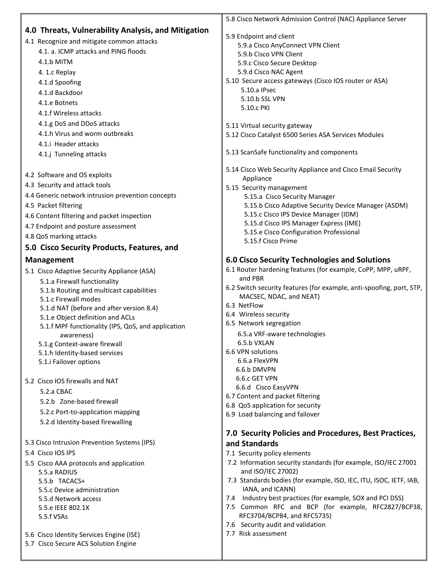|                                                                              | 5.8 Cisco Network Admission Control (NAC) Appliance Server                                                           |
|------------------------------------------------------------------------------|----------------------------------------------------------------------------------------------------------------------|
| 4.0 Threats, Vulnerability Analysis, and Mitigation                          | 5.9 Endpoint and client                                                                                              |
| 4.1 Recognize and mitigate common attacks                                    | 5.9.a Cisco AnyConnect VPN Client                                                                                    |
| 4.1. a. ICMP attacks and PING floods                                         | 5.9.b Cisco VPN Client                                                                                               |
| 4.1.b MITM                                                                   | 5.9.c Cisco Secure Desktop                                                                                           |
| 4. 1.c Replay                                                                | 5.9.d Cisco NAC Agent                                                                                                |
| 4.1.d Spoofing                                                               | 5.10 Secure access gateways (Cisco IOS router or ASA)                                                                |
| 4.1.d Backdoor                                                               | 5.10.a IPsec                                                                                                         |
| 4.1.e Botnets                                                                | 5.10.b SSL VPN                                                                                                       |
| 4.1.f Wireless attacks                                                       | 5.10.c PKI                                                                                                           |
| 4.1.g DoS and DDoS attacks                                                   |                                                                                                                      |
| 4.1.h Virus and worm outbreaks                                               | 5.11 Virtual security gateway<br>5.12 Cisco Catalyst 6500 Series ASA Services Modules                                |
| 4.1.i Header attacks                                                         |                                                                                                                      |
| 4.1.j Tunneling attacks                                                      | 5.13 ScanSafe functionality and components                                                                           |
|                                                                              |                                                                                                                      |
| 4.2 Software and OS exploits                                                 | 5.14 Cisco Web Security Appliance and Cisco Email Security                                                           |
| 4.3 Security and attack tools                                                | Appliance<br>5.15 Security management                                                                                |
| 4.4 Generic network intrusion prevention concepts                            | 5.15.a Cisco Security Manager                                                                                        |
| 4.5 Packet filtering                                                         | 5.15.b Cisco Adaptive Security Device Manager (ASDM)                                                                 |
| 4.6 Content filtering and packet inspection                                  | 5.15.c Cisco IPS Device Manager (IDM)                                                                                |
| 4.7 Endpoint and posture assessment                                          | 5.15.d Cisco IPS Manager Express (IME)                                                                               |
| 4.8 QoS marking attacks                                                      | 5.15.e Cisco Configuration Professional                                                                              |
| 5.0 Cisco Security Products, Features, and                                   | 5.15.f Cisco Prime                                                                                                   |
|                                                                              |                                                                                                                      |
| <b>Management</b>                                                            | <b>6.0 Cisco Security Technologies and Solutions</b>                                                                 |
| 5.1 Cisco Adaptive Security Appliance (ASA)                                  | 6.1 Router hardening features (for example, CoPP, MPP, uRPF,<br>and PBR                                              |
| 5.1.a Firewall functionality                                                 | 6.2 Switch security features (for example, anti-spoofing, port, STP,                                                 |
| 5.1.b Routing and multicast capabilities                                     | MACSEC, NDAC, and NEAT)                                                                                              |
| 5.1.c Firewall modes                                                         | 6.3 NetFlow                                                                                                          |
| 5.1.d NAT (before and after version 8.4)<br>5.1.e Object definition and ACLs | 6.4 Wireless security                                                                                                |
| 5.1.f MPF functionality (IPS, QoS, and application                           | 6.5 Network segregation                                                                                              |
| awareness)                                                                   | 6.5.a VRF-aware technologies                                                                                         |
| 5.1.g Context-aware firewall                                                 | 6.5.b VXLAN                                                                                                          |
| 5.1.h Identity-based services                                                | 6.6 VPN solutions                                                                                                    |
| 5.1.i Failover options                                                       | 6.6.a FlexVPN                                                                                                        |
|                                                                              | 6.6.b DMVPN                                                                                                          |
| 5.2 Cisco IOS firewalls and NAT                                              | 6.6.c GET VPN<br>6.6.d Cisco EasyVPN                                                                                 |
| 5.2.a CBAC                                                                   | 6.7 Content and packet filtering                                                                                     |
| 5.2.b Zone-based firewall                                                    | 6.8 QoS application for security                                                                                     |
| 5.2.c Port-to-application mapping                                            | 6.9 Load balancing and failover                                                                                      |
| 5.2.d Identity-based firewalling                                             |                                                                                                                      |
|                                                                              | 7.0 Security Policies and Procedures, Best Practices,                                                                |
| 5.3 Cisco Intrusion Prevention Systems (IPS)                                 | and Standards                                                                                                        |
| 5.4 Cisco IOS IPS                                                            | 7.1 Security policy elements                                                                                         |
| 5.5 Cisco AAA protocols and application                                      | 7.2 Information security standards (for example, ISO/IEC 27001                                                       |
| 5.5.a RADIUS                                                                 | and ISO/IEC 27002)                                                                                                   |
| 5.5.b TACACS+                                                                | 7.3 Standards bodies (for example, ISO, IEC, ITU, ISOC, IETF, IAB,                                                   |
| 5.5.c Device administration                                                  | IANA, and ICANN)                                                                                                     |
| 5.5.d Network access                                                         | Industry best practices (for example, SOX and PCI DSS)<br>7.4<br>7.5 Common RFC and BCP (for example, RFC2827/BCP38, |
| 5.5.e IEEE 802.1X<br>5.5.f VSAs                                              | RFC3704/BCP84, and RFC5735)                                                                                          |
|                                                                              | 7.6 Security audit and validation                                                                                    |
| 5.6 Cisco Identity Services Engine (ISE)                                     | 7.7 Risk assessment                                                                                                  |
| 5.7 Cisco Secure ACS Solution Engine                                         |                                                                                                                      |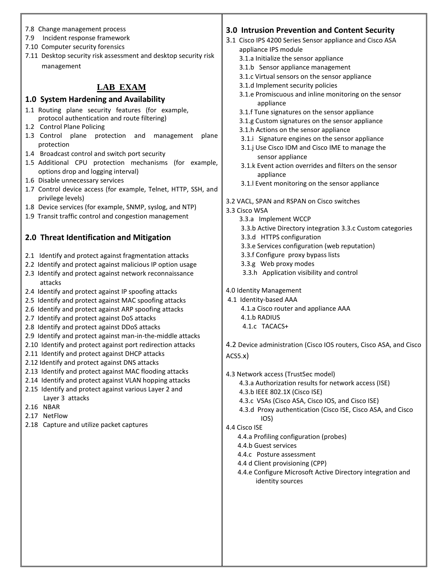- 7.8 Change management process
- 7.9 Incident response framework
- 7.10 Computer security forensics
- 7.11 Desktop security risk assessment and desktop security risk management

## **LAB EXAM**

#### **1.0 System Hardening and Availability**

- 1.1 Routing plane security features (for example, protocol authentication and route filtering)
- 1.2 Control Plane Policing
- 1.3 Control plane protection and management plane protection
- 1.4 Broadcast control and switch port security
- 1.5 Additional CPU protection mechanisms (for example, options drop and logging interval)
- 1.6 Disable unnecessary services
- 1.7 Control device access (for example, Telnet, HTTP, SSH, and privilege levels)
- 1.8 Device services (for example, SNMP, syslog, and NTP)
- 1.9 Transit traffic control and congestion management

## **2.0 Threat Identification and Mitigation**

- 2.1 Identify and protect against fragmentation attacks
- 2.2 Identify and protect against malicious IP option usage
- 2.3 Identify and protect against network reconnaissance attacks
- 2.4 Identify and protect against IP spoofing attacks
- 2.5 Identify and protect against MAC spoofing attacks
- 2.6 Identify and protect against ARP spoofing attacks
- 2.7 Identify and protect against DoS attacks
- 2.8 Identify and protect against DDoS attacks
- 2.9 Identify and protect against man-in-the-middle attacks
- 2.10 Identify and protect against port redirection attacks
- 2.11 Identify and protect against DHCP attacks
- 2.12 Identify and protect against DNS attacks
- 2.13 Identify and protect against MAC flooding attacks
- 2.14 Identify and protect against VLAN hopping attacks
- 2.15 Identify and protect against various Layer 2 and Layer 3 attacks
- 2.16 NBAR
- 2.17 NetFlow
- 2.18 Capture and utilize packet captures

# **3.0 Intrusion Prevention and Content Security**

- 3.1 Cisco IPS 4200 Series Sensor appliance and Cisco ASA appliance IPS module
	- 3.1.a Initialize the sensor appliance
	- 3.1.b Sensor appliance management
	- 3.1.c Virtual sensors on the sensor appliance
	- 3.1.d Implement security policies
	- 3.1.e Promiscuous and inline monitoring on the sensor appliance
	- 3.1.f Tune signatures on the sensor appliance
	- 3.1.g Custom signatures on the sensor appliance
	- 3.1.h Actions on the sensor appliance
	- 3.1.i Signature engines on the sensor appliance
	- 3.1.j Use Cisco IDM and Cisco IME to manage the sensor appliance
	- 3.1.k Event action overrides and filters on the sensor appliance
	- 3.1.l Event monitoring on the sensor appliance

3.2 VACL, SPAN and RSPAN on Cisco switches

3.3 Cisco WSA

- 3.3.a Implement WCCP
- 3.3.b Active Directory integration 3.3.c Custom categories
- 3.3.d HTTPS configuration
- 3.3.e Services configuration (web reputation)
- 3.3.f Configure proxy bypass lists
- 3.3.g Web proxy modes
- 3.3.h Application visibility and control
- 4.0 Identity Management
- 4.1 Identity-based AAA 4.1.a Cisco router and appliance AAA 4.1.b RADIUS
	- 4.1.c TACACS+
- 4.2 Device administration (Cisco IOS routers, Cisco ASA, and Cisco

### ACS5.x)

- 4.3 Network access (TrustSec model)
	- 4.3.a Authorization results for network access (ISE)
	- 4.3.b IEEE 802.1X (Cisco ISE)
	- 4.3.c VSAs (Cisco ASA, Cisco IOS, and Cisco ISE)
	- 4.3.d Proxy authentication (Cisco ISE, Cisco ASA, and Cisco IOS)

#### 4.4 Cisco ISE

- 4.4.a Profiling configuration (probes)
- 4.4.b Guest services
- 4.4.c Posture assessment
- 4.4 d Client provisioning (CPP)
- 4.4.e Configure Microsoft Active Directory integration and identity sources